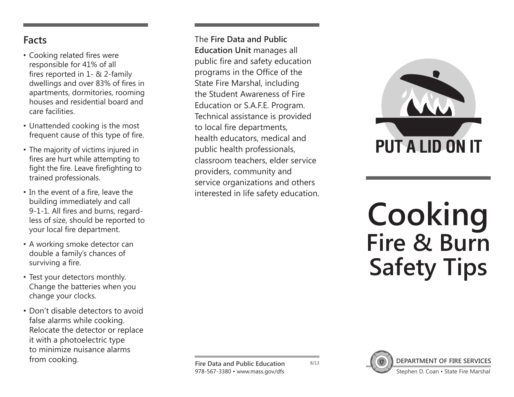## **Facts**

- Cooking related fires were responsible for 41% of all fires reported in 1- & 2-family dwellings and over 83% of fires in apartments, dormitories, rooming houses and residential board and care facilities.
- Unattended cooking is the most frequent cause of this type of fire.
- The majority of victims injured in fires are hurt while attempting to fight the fire. Leave firefighting to trained professionals.
- In the event of a fire, leave the building immediately and call 9-1-1. All fires and burns, regardless of size, should be reported to your local fire department.
- A working smoke detector can double a family's chances of surviving a fire.
- Test your detectors monthly. Change the batteries when you change your clocks.
- Don't disable detectors to avoid false alarms while cooking. Relocate the detector or replace it with a photoelectric type to minimize nuisance alarms

The **Fire Data and Public Education Unit** manages all public fire and safety education programs in the Office of the State Fire Marshal, including the Student Awareness of Fire Education or S.A.F.E. Program. Technical assistance is provided to local fire departments, health educators, medical and public health professionals, classroom teachers, elder service providers, community and service organizations and others interested in life safety education.



## **Cooking Fire & Burn Safety Tips**